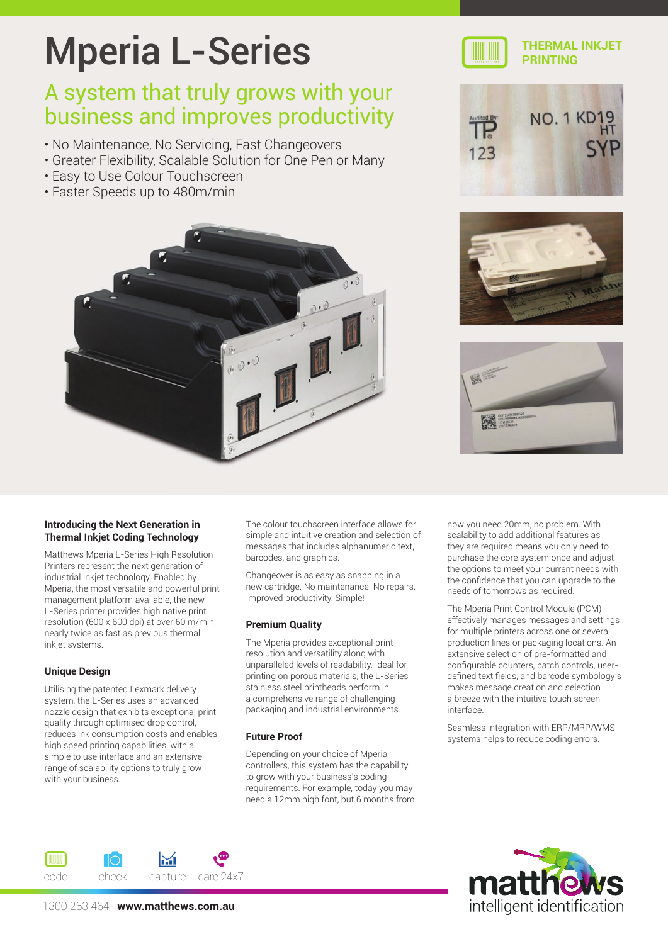# Mperia L-Series

### A system that truly grows with your business and improves productivity

- No Maintenance, No Servicing, Fast Changeovers
- Greater Flexibility, Scalable Solution for One Pen or Many
- Easy to Use Colour Touchscreen
- Faster Speeds up to 480m/min





#### **THERMAL INKJET PRINTING**







#### **Introducing the Next Generation in Thermal Inkjet Coding Technology**

Matthews Mperia L-Series High Resolution Printers represent the next generation of industrial inkjet technology. Enabled by Mperia, the most versatile and powerful print management platform available, the new L-Series printer provides high native print resolution (600 x 600 dpi) at over 60 m/min, nearly twice as fast as previous thermal inkjet systems.

#### **Unique Design**

Utilising the patented Lexmark delivery system, the L-Series uses an advanced nozzle design that exhibits exceptional print quality through optimised drop control, reduces ink consumption costs and enables high speed printing capabilities, with a simple to use interface and an extensive range of scalability options to truly grow with your business.

The colour touchscreen interface allows for simple and intuitive creation and selection of messages that includes alphanumeric text, barcodes, and graphics.

Changeover is as easy as snapping in a new cartridge. No maintenance. No repairs. Improved productivity. Simple!

#### **Premium Quality**

The Mperia provides exceptional print resolution and versatility along with unparalleled levels of readability. Ideal for printing on porous materials, the L-Series stainless steel printheads perform in a comprehensive range of challenging packaging and industrial environments.

#### **Future Proof**

Depending on your choice of Mperia controllers, this system has the capability to grow with your business's coding requirements. For example, today you may need a 12mm high font, but 6 months from now you need 20mm, no problem. With scalability to add additional features as they are required means you only need to purchase the core system once and adjust the options to meet your current needs with the confidence that you can upgrade to the needs of tomorrows as required.

The Mperia Print Control Module (PCM) effectively manages messages and settings for multiple printers across one or several production lines or packaging locations. An extensive selection of pre-formatted and configurable counters, batch controls, userdefined text fields, and barcode symbology's makes message creation and selection a breeze with the intuitive touch screen interface.

Seamless integration with ERP/MRP/WMS systems helps to reduce coding errors.